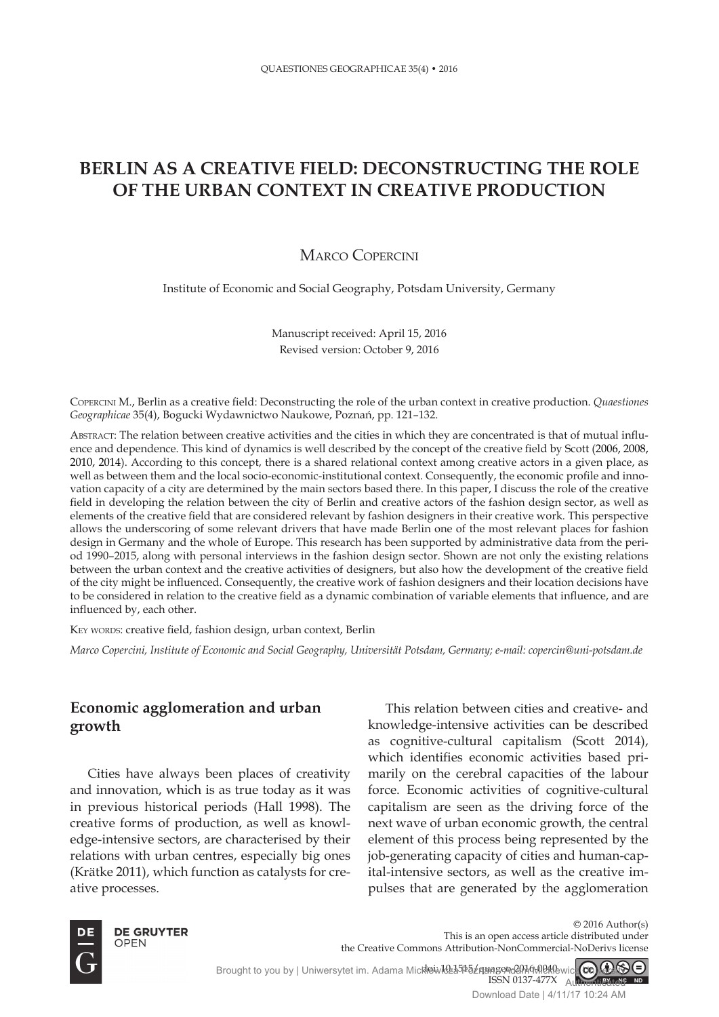# **BERLIN AS A CREATIVE FIELD: DECONSTRUCTING THE ROLE OF THE URBAN CONTEXT IN CREATIVE PRODUCTION**

# Marco Copercini

Institute of Economic and Social Geography, Potsdam University, Germany

Manuscript received: April 15, 2016 Revised version: October 9, 2016

Copercini M., Berlin as a creative field: Deconstructing the role of the urban context in creative production. *Quaestiones Geographicae* 35(4), Bogucki Wydawnictwo Naukowe, Poznań, pp. 121–132.

Abstract: The relation between creative activities and the cities in which they are concentrated is that of mutual influence and dependence. This kind of dynamics is well described by the concept of the creative field by Scott (2006, 2008, 2010, 2014). According to this concept, there is a shared relational context among creative actors in a given place, as well as between them and the local socio-economic-institutional context. Consequently, the economic profile and innovation capacity of a city are determined by the main sectors based there. In this paper, I discuss the role of the creative field in developing the relation between the city of Berlin and creative actors of the fashion design sector, as well as elements of the creative field that are considered relevant by fashion designers in their creative work. This perspective allows the underscoring of some relevant drivers that have made Berlin one of the most relevant places for fashion design in Germany and the whole of Europe. This research has been supported by administrative data from the period 1990–2015, along with personal interviews in the fashion design sector. Shown are not only the existing relations between the urban context and the creative activities of designers, but also how the development of the creative field of the city might be influenced. Consequently, the creative work of fashion designers and their location decisions have to be considered in relation to the creative field as a dynamic combination of variable elements that influence, and are influenced by, each other.

KEY WORDS: creative field, fashion design, urban context, Berlin

*Marco Copercini, Institute of Economic and Social Geography, Universität Potsdam, Germany; e-mail: copercin@uni-potsdam.de* 

# **Economic agglomeration and urban growth**

Cities have always been places of creativity and innovation, which is as true today as it was in previous historical periods (Hall 1998). The creative forms of production, as well as knowledge-intensive sectors, are characterised by their relations with urban centres, especially big ones (Krätke 2011), which function as catalysts for creative processes.

This relation between cities and creative- and knowledge-intensive activities can be described as cognitive-cultural capitalism (Scott 2014), which identifies economic activities based primarily on the cerebral capacities of the labour force. Economic activities of cognitive-cultural capitalism are seen as the driving force of the next wave of urban economic growth, the central element of this process being represented by the job-generating capacity of cities and human-capital-intensive sectors, as well as the creative impulses that are generated by the agglomeration



© 2016 Author(s) This is an open access article distributed under the Creative Commons Attribution-NonCommercial-NoDerivs license

doi: 10.1515/quageo-2016-0040 ISSN 0137-477X Brought to you by | Uniwersytet im. Adama Mickiewicza Poznanegodal Indikiewicz CC) GA G Authenticated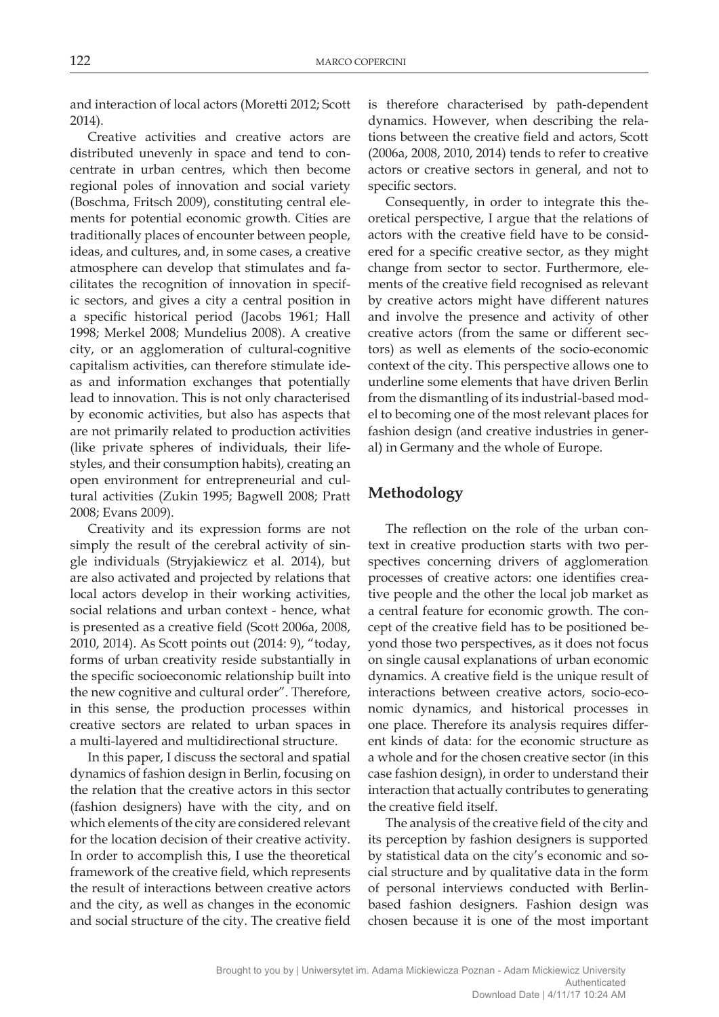and interaction of local actors (Moretti 2012; Scott 2014).

Creative activities and creative actors are distributed unevenly in space and tend to concentrate in urban centres, which then become regional poles of innovation and social variety (Boschma, Fritsch 2009), constituting central elements for potential economic growth. Cities are traditionally places of encounter between people, ideas, and cultures, and, in some cases, a creative atmosphere can develop that stimulates and facilitates the recognition of innovation in specific sectors, and gives a city a central position in a specific historical period (Jacobs 1961; Hall 1998; Merkel 2008; Mundelius 2008). A creative city, or an agglomeration of cultural-cognitive capitalism activities, can therefore stimulate ideas and information exchanges that potentially lead to innovation. This is not only characterised by economic activities, but also has aspects that are not primarily related to production activities (like private spheres of individuals, their lifestyles, and their consumption habits), creating an open environment for entrepreneurial and cultural activities (Zukin 1995; Bagwell 2008; Pratt 2008; Evans 2009).

Creativity and its expression forms are not simply the result of the cerebral activity of single individuals (Stryjakiewicz et al. 2014), but are also activated and projected by relations that local actors develop in their working activities, social relations and urban context - hence, what is presented as a creative field (Scott 2006a, 2008, 2010, 2014). As Scott points out (2014: 9), "today, forms of urban creativity reside substantially in the specific socioeconomic relationship built into the new cognitive and cultural order". Therefore, in this sense, the production processes within creative sectors are related to urban spaces in a multi-layered and multidirectional structure.

In this paper, I discuss the sectoral and spatial dynamics of fashion design in Berlin, focusing on the relation that the creative actors in this sector (fashion designers) have with the city, and on which elements of the city are considered relevant for the location decision of their creative activity. In order to accomplish this, I use the theoretical framework of the creative field, which represents the result of interactions between creative actors and the city, as well as changes in the economic and social structure of the city. The creative field

is therefore characterised by path-dependent dynamics. However, when describing the relations between the creative field and actors, Scott (2006a, 2008, 2010, 2014) tends to refer to creative actors or creative sectors in general, and not to specific sectors.

Consequently, in order to integrate this theoretical perspective, I argue that the relations of actors with the creative field have to be considered for a specific creative sector, as they might change from sector to sector. Furthermore, elements of the creative field recognised as relevant by creative actors might have different natures and involve the presence and activity of other creative actors (from the same or different sectors) as well as elements of the socio-economic context of the city. This perspective allows one to underline some elements that have driven Berlin from the dismantling of its industrial-based model to becoming one of the most relevant places for fashion design (and creative industries in general) in Germany and the whole of Europe.

# **Methodology**

The reflection on the role of the urban context in creative production starts with two perspectives concerning drivers of agglomeration processes of creative actors: one identifies creative people and the other the local job market as a central feature for economic growth. The concept of the creative field has to be positioned beyond those two perspectives, as it does not focus on single causal explanations of urban economic dynamics. A creative field is the unique result of interactions between creative actors, socio-economic dynamics, and historical processes in one place. Therefore its analysis requires different kinds of data: for the economic structure as a whole and for the chosen creative sector (in this case fashion design), in order to understand their interaction that actually contributes to generating the creative field itself.

The analysis of the creative field of the city and its perception by fashion designers is supported by statistical data on the city's economic and social structure and by qualitative data in the form of personal interviews conducted with Berlinbased fashion designers. Fashion design was chosen because it is one of the most important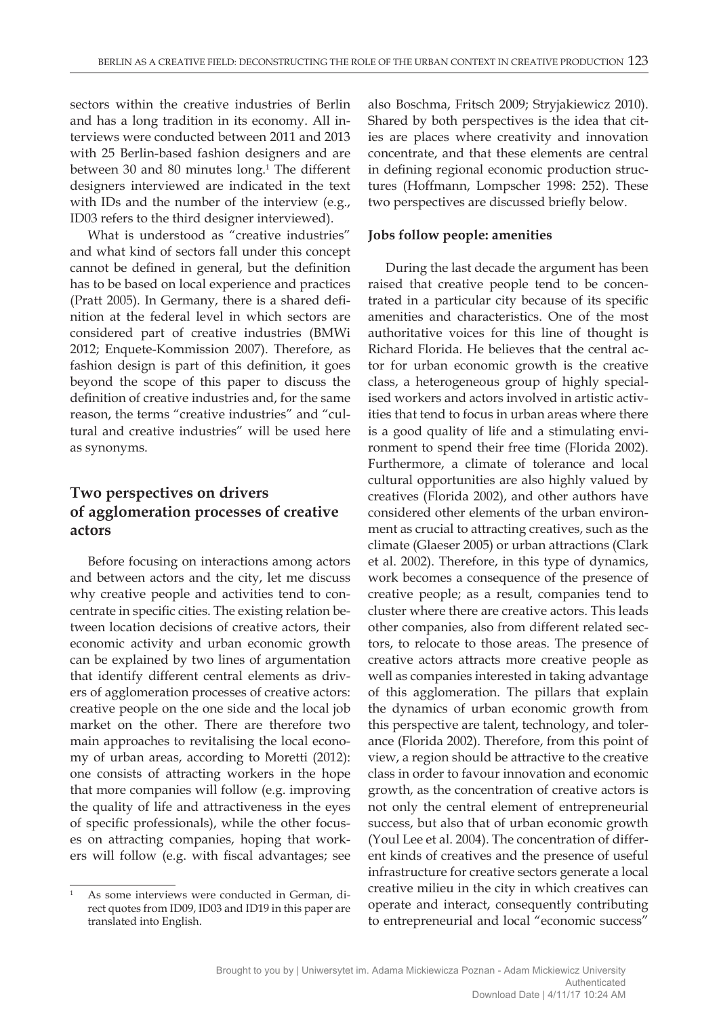sectors within the creative industries of Berlin and has a long tradition in its economy. All interviews were conducted between 2011 and 2013 with 25 Berlin-based fashion designers and are between 30 and 80 minutes long.<sup>1</sup> The different designers interviewed are indicated in the text with IDs and the number of the interview (e.g., ID03 refers to the third designer interviewed).

What is understood as "creative industries" and what kind of sectors fall under this concept cannot be defined in general, but the definition has to be based on local experience and practices (Pratt 2005). In Germany, there is a shared definition at the federal level in which sectors are considered part of creative industries (BMWi 2012; Enquete-Kommission 2007). Therefore, as fashion design is part of this definition, it goes beyond the scope of this paper to discuss the definition of creative industries and, for the same reason, the terms "creative industries" and "cultural and creative industries" will be used here as synonyms.

# **Two perspectives on drivers of agglomeration processes of creative actors**

Before focusing on interactions among actors and between actors and the city, let me discuss why creative people and activities tend to concentrate in specific cities. The existing relation between location decisions of creative actors, their economic activity and urban economic growth can be explained by two lines of argumentation that identify different central elements as drivers of agglomeration processes of creative actors: creative people on the one side and the local job market on the other. There are therefore two main approaches to revitalising the local economy of urban areas, according to Moretti (2012): one consists of attracting workers in the hope that more companies will follow (e.g. improving the quality of life and attractiveness in the eyes of specific professionals), while the other focuses on attracting companies, hoping that workers will follow (e.g. with fiscal advantages; see

also Boschma, Fritsch 2009; Stryjakiewicz 2010). Shared by both perspectives is the idea that cities are places where creativity and innovation concentrate, and that these elements are central in defining regional economic production structures (Hoffmann, Lompscher 1998: 252). These two perspectives are discussed briefly below.

#### **Jobs follow people: amenities**

During the last decade the argument has been raised that creative people tend to be concentrated in a particular city because of its specific amenities and characteristics. One of the most authoritative voices for this line of thought is Richard Florida. He believes that the central actor for urban economic growth is the creative class, a heterogeneous group of highly specialised workers and actors involved in artistic activities that tend to focus in urban areas where there is a good quality of life and a stimulating environment to spend their free time (Florida 2002). Furthermore, a climate of tolerance and local cultural opportunities are also highly valued by creatives (Florida 2002), and other authors have considered other elements of the urban environment as crucial to attracting creatives, such as the climate (Glaeser 2005) or urban attractions (Clark et al. 2002). Therefore, in this type of dynamics, work becomes a consequence of the presence of creative people; as a result, companies tend to cluster where there are creative actors. This leads other companies, also from different related sectors, to relocate to those areas. The presence of creative actors attracts more creative people as well as companies interested in taking advantage of this agglomeration. The pillars that explain the dynamics of urban economic growth from this perspective are talent, technology, and tolerance (Florida 2002). Therefore, from this point of view, a region should be attractive to the creative class in order to favour innovation and economic growth, as the concentration of creative actors is not only the central element of entrepreneurial success, but also that of urban economic growth (Youl Lee et al. 2004). The concentration of different kinds of creatives and the presence of useful infrastructure for creative sectors generate a local creative milieu in the city in which creatives can operate and interact, consequently contributing to entrepreneurial and local "economic success"

As some interviews were conducted in German, direct quotes from ID09, ID03 and ID19 in this paper are translated into English.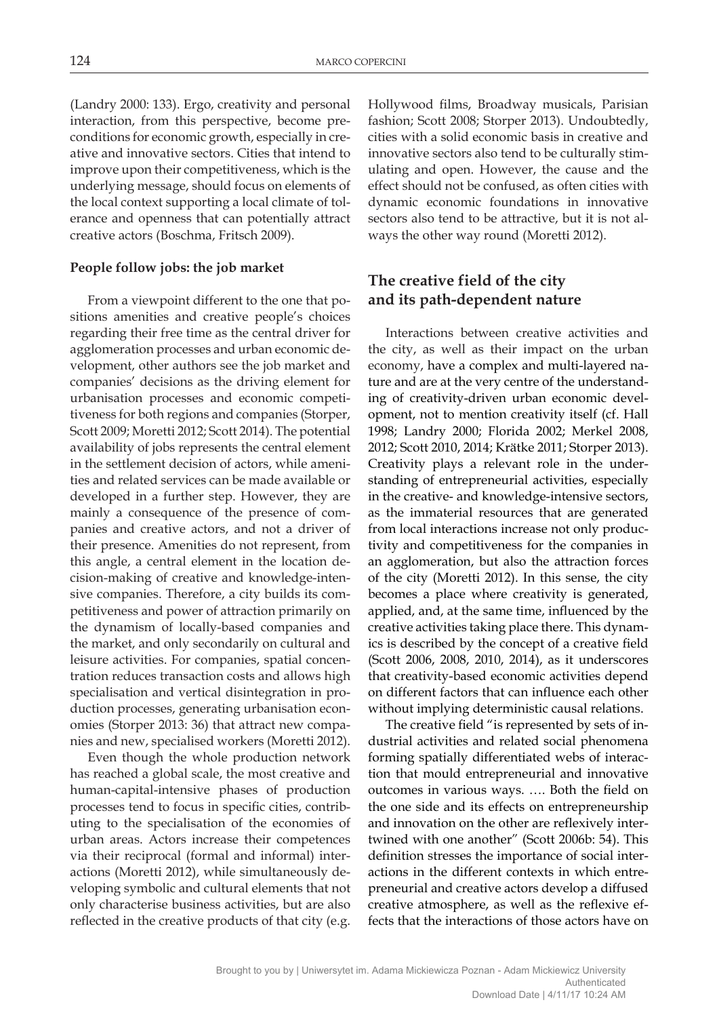(Landry 2000: 133). Ergo, creativity and personal interaction, from this perspective, become preconditions for economic growth, especially in creative and innovative sectors. Cities that intend to improve upon their competitiveness, which is the underlying message, should focus on elements of the local context supporting a local climate of tolerance and openness that can potentially attract creative actors (Boschma, Fritsch 2009).

#### **People follow jobs: the job market**

From a viewpoint different to the one that positions amenities and creative people's choices regarding their free time as the central driver for agglomeration processes and urban economic development, other authors see the job market and companies' decisions as the driving element for urbanisation processes and economic competitiveness for both regions and companies (Storper, Scott 2009; Moretti 2012; Scott 2014). The potential availability of jobs represents the central element in the settlement decision of actors, while amenities and related services can be made available or developed in a further step. However, they are mainly a consequence of the presence of companies and creative actors, and not a driver of their presence. Amenities do not represent, from this angle, a central element in the location decision-making of creative and knowledge-intensive companies. Therefore, a city builds its competitiveness and power of attraction primarily on the dynamism of locally-based companies and the market, and only secondarily on cultural and leisure activities. For companies, spatial concentration reduces transaction costs and allows high specialisation and vertical disintegration in production processes, generating urbanisation economies (Storper 2013: 36) that attract new companies and new, specialised workers (Moretti 2012).

Even though the whole production network has reached a global scale, the most creative and human-capital-intensive phases of production processes tend to focus in specific cities, contributing to the specialisation of the economies of urban areas. Actors increase their competences via their reciprocal (formal and informal) interactions (Moretti 2012), while simultaneously developing symbolic and cultural elements that not only characterise business activities, but are also reflected in the creative products of that city (e.g.

Hollywood films, Broadway musicals, Parisian fashion; Scott 2008; Storper 2013). Undoubtedly, cities with a solid economic basis in creative and innovative sectors also tend to be culturally stimulating and open. However, the cause and the effect should not be confused, as often cities with dynamic economic foundations in innovative sectors also tend to be attractive, but it is not always the other way round (Moretti 2012).

# **The creative field of the city and its path-dependent nature**

Interactions between creative activities and the city, as well as their impact on the urban economy, have a complex and multi-layered nature and are at the very centre of the understanding of creativity-driven urban economic development, not to mention creativity itself (cf. Hall 1998; Landry 2000; Florida 2002; Merkel 2008, 2012; Scott 2010, 2014; Krätke 2011; Storper 2013). Creativity plays a relevant role in the understanding of entrepreneurial activities, especially in the creative- and knowledge-intensive sectors, as the immaterial resources that are generated from local interactions increase not only productivity and competitiveness for the companies in an agglomeration, but also the attraction forces of the city (Moretti 2012). In this sense, the city becomes a place where creativity is generated, applied, and, at the same time, influenced by the creative activities taking place there. This dynamics is described by the concept of a creative field (Scott 2006, 2008, 2010, 2014), as it underscores that creativity-based economic activities depend on different factors that can influence each other without implying deterministic causal relations.

The creative field "is represented by sets of industrial activities and related social phenomena forming spatially differentiated webs of interaction that mould entrepreneurial and innovative outcomes in various ways. …. Both the field on the one side and its effects on entrepreneurship and innovation on the other are reflexively intertwined with one another" (Scott 2006b: 54). This definition stresses the importance of social interactions in the different contexts in which entrepreneurial and creative actors develop a diffused creative atmosphere, as well as the reflexive effects that the interactions of those actors have on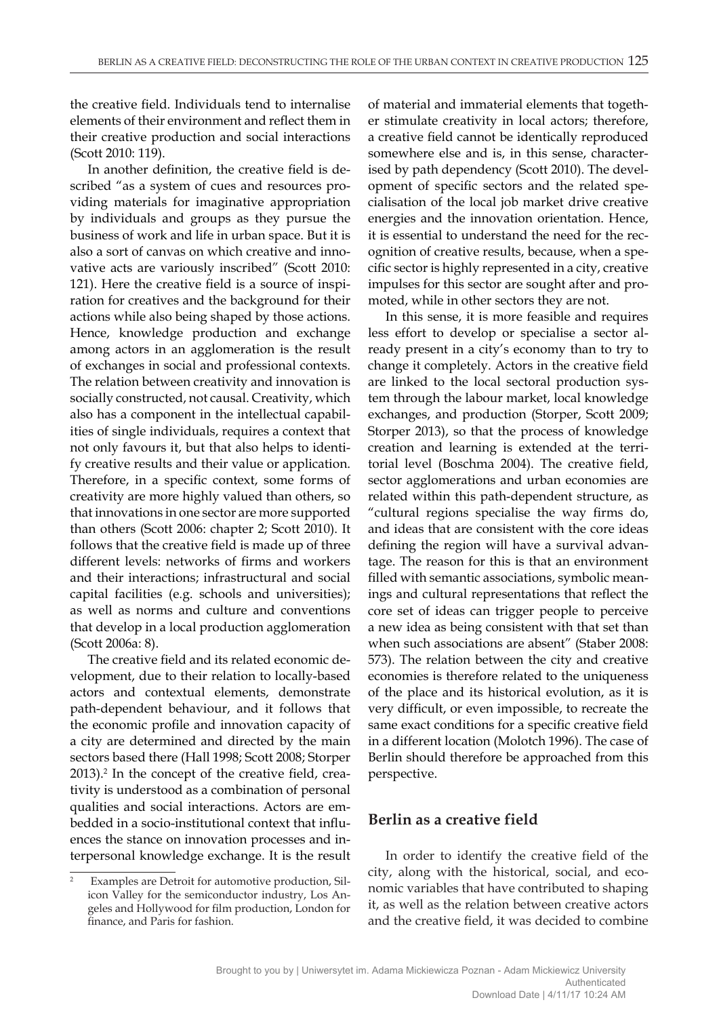the creative field. Individuals tend to internalise elements of their environment and reflect them in their creative production and social interactions (Scott 2010: 119).

In another definition, the creative field is described "as a system of cues and resources providing materials for imaginative appropriation by individuals and groups as they pursue the business of work and life in urban space. But it is also a sort of canvas on which creative and innovative acts are variously inscribed" (Scott 2010: 121). Here the creative field is a source of inspiration for creatives and the background for their actions while also being shaped by those actions. Hence, knowledge production and exchange among actors in an agglomeration is the result of exchanges in social and professional contexts. The relation between creativity and innovation is socially constructed, not causal. Creativity, which also has a component in the intellectual capabilities of single individuals, requires a context that not only favours it, but that also helps to identify creative results and their value or application. Therefore, in a specific context, some forms of creativity are more highly valued than others, so that innovations in one sector are more supported than others (Scott 2006: chapter 2; Scott 2010). It follows that the creative field is made up of three different levels: networks of firms and workers and their interactions; infrastructural and social capital facilities (e.g. schools and universities); as well as norms and culture and conventions that develop in a local production agglomeration (Scott 2006a: 8).

The creative field and its related economic development, due to their relation to locally-based actors and contextual elements, demonstrate path-dependent behaviour, and it follows that the economic profile and innovation capacity of a city are determined and directed by the main sectors based there (Hall 1998; Scott 2008; Storper 2013).2 In the concept of the creative field, creativity is understood as a combination of personal qualities and social interactions. Actors are embedded in a socio-institutional context that influences the stance on innovation processes and interpersonal knowledge exchange. It is the result

of material and immaterial elements that together stimulate creativity in local actors; therefore, a creative field cannot be identically reproduced somewhere else and is, in this sense, characterised by path dependency (Scott 2010). The development of specific sectors and the related specialisation of the local job market drive creative energies and the innovation orientation. Hence, it is essential to understand the need for the recognition of creative results, because, when a specific sector is highly represented in a city, creative impulses for this sector are sought after and promoted, while in other sectors they are not.

In this sense, it is more feasible and requires less effort to develop or specialise a sector already present in a city's economy than to try to change it completely. Actors in the creative field are linked to the local sectoral production system through the labour market, local knowledge exchanges, and production (Storper, Scott 2009; Storper 2013), so that the process of knowledge creation and learning is extended at the territorial level (Boschma 2004). The creative field, sector agglomerations and urban economies are related within this path-dependent structure, as "cultural regions specialise the way firms do, and ideas that are consistent with the core ideas defining the region will have a survival advantage. The reason for this is that an environment filled with semantic associations, symbolic meanings and cultural representations that reflect the core set of ideas can trigger people to perceive a new idea as being consistent with that set than when such associations are absent" (Staber 2008: 573). The relation between the city and creative economies is therefore related to the uniqueness of the place and its historical evolution, as it is very difficult, or even impossible, to recreate the same exact conditions for a specific creative field in a different location (Molotch 1996). The case of Berlin should therefore be approached from this perspective.

# **Berlin as a creative field**

In order to identify the creative field of the city, along with the historical, social, and economic variables that have contributed to shaping it, as well as the relation between creative actors and the creative field, it was decided to combine

Examples are Detroit for automotive production, Silicon Valley for the semiconductor industry, Los Angeles and Hollywood for film production, London for finance, and Paris for fashion.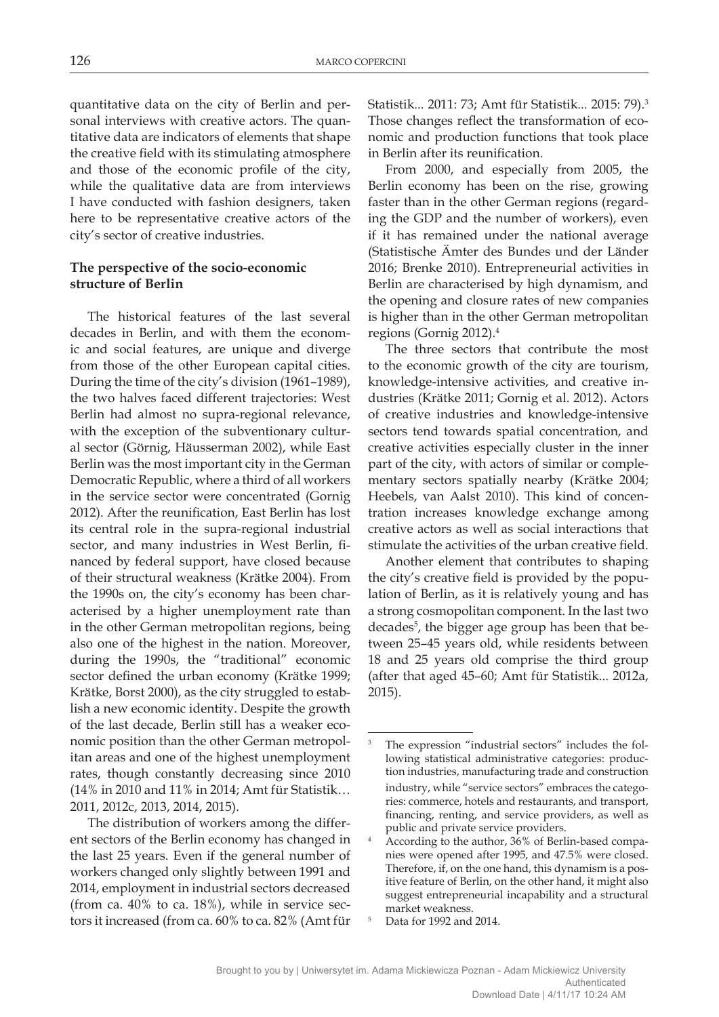quantitative data on the city of Berlin and personal interviews with creative actors. The quantitative data are indicators of elements that shape the creative field with its stimulating atmosphere and those of the economic profile of the city, while the qualitative data are from interviews I have conducted with fashion designers, taken here to be representative creative actors of the city's sector of creative industries.

#### **The perspective of the socio-economic structure of Berlin**

The historical features of the last several decades in Berlin, and with them the economic and social features, are unique and diverge from those of the other European capital cities. During the time of the city's division (1961–1989), the two halves faced different trajectories: West Berlin had almost no supra-regional relevance, with the exception of the subventionary cultural sector (Görnig, Häusserman 2002), while East Berlin was the most important city in the German Democratic Republic, where a third of all workers in the service sector were concentrated (Gornig 2012). After the reunification, East Berlin has lost its central role in the supra-regional industrial sector, and many industries in West Berlin, financed by federal support, have closed because of their structural weakness (Krätke 2004). From the 1990s on, the city's economy has been characterised by a higher unemployment rate than in the other German metropolitan regions, being also one of the highest in the nation. Moreover, during the 1990s, the "traditional" economic sector defined the urban economy (Krätke 1999; Krätke, Borst 2000), as the city struggled to establish a new economic identity. Despite the growth of the last decade, Berlin still has a weaker economic position than the other German metropolitan areas and one of the highest unemployment rates, though constantly decreasing since 2010 (14% in 2010 and 11% in 2014; Amt für Statistik… 2011, 2012c, 2013, 2014, 2015).

The distribution of workers among the different sectors of the Berlin economy has changed in the last 25 years. Even if the general number of workers changed only slightly between 1991 and 2014, employment in industrial sectors decreased (from ca. 40% to ca. 18%), while in service sectors it increased (from ca. 60% to ca. 82% (Amt für

Statistik... 2011: 73; Amt für Statistik... 2015: 79).<sup>3</sup> Those changes reflect the transformation of economic and production functions that took place in Berlin after its reunification.

From 2000, and especially from 2005, the Berlin economy has been on the rise, growing faster than in the other German regions (regarding the GDP and the number of workers), even if it has remained under the national average (Statistische Ämter des Bundes und der Länder 2016; Brenke 2010). Entrepreneurial activities in Berlin are characterised by high dynamism, and the opening and closure rates of new companies is higher than in the other German metropolitan regions (Gornig 2012).<sup>4</sup>

The three sectors that contribute the most to the economic growth of the city are tourism, knowledge-intensive activities, and creative industries (Krätke 2011; Gornig et al. 2012). Actors of creative industries and knowledge-intensive sectors tend towards spatial concentration, and creative activities especially cluster in the inner part of the city, with actors of similar or complementary sectors spatially nearby (Krätke 2004; Heebels, van Aalst 2010). This kind of concentration increases knowledge exchange among creative actors as well as social interactions that stimulate the activities of the urban creative field.

Another element that contributes to shaping the city's creative field is provided by the population of Berlin, as it is relatively young and has a strong cosmopolitan component. In the last two decades<sup>5</sup>, the bigger age group has been that between 25–45 years old, while residents between 18 and 25 years old comprise the third group (after that aged 45–60; Amt für Statistik... 2012a, 2015).

The expression "industrial sectors" includes the following statistical administrative categories: production industries, manufacturing trade and construction industry, while "service sectors" embraces the categories: commerce, hotels and restaurants, and transport, financing, renting, and service providers, as well as public and private service providers.

<sup>4</sup> According to the author, 36% of Berlin-based companies were opened after 1995, and 47.5% were closed. Therefore, if, on the one hand, this dynamism is a positive feature of Berlin, on the other hand, it might also suggest entrepreneurial incapability and a structural market weakness.

<sup>5</sup> Data for 1992 and 2014.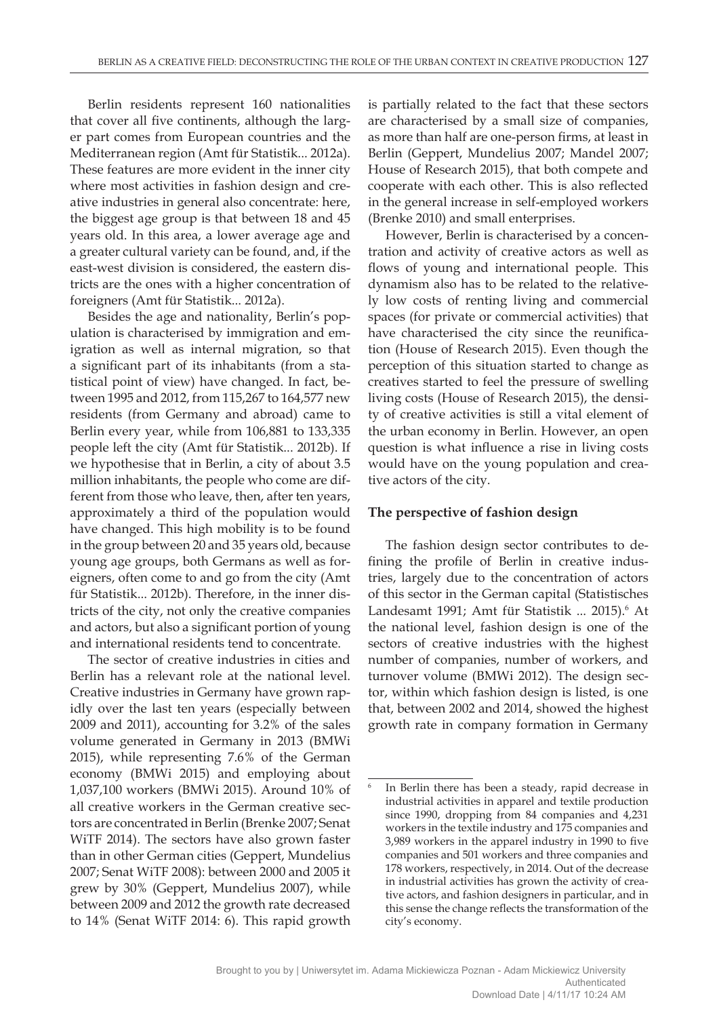Berlin residents represent 160 nationalities that cover all five continents, although the larger part comes from European countries and the Mediterranean region (Amt für Statistik... 2012a). These features are more evident in the inner city where most activities in fashion design and creative industries in general also concentrate: here, the biggest age group is that between 18 and 45 years old. In this area, a lower average age and a greater cultural variety can be found, and, if the east-west division is considered, the eastern districts are the ones with a higher concentration of foreigners (Amt für Statistik... 2012a).

Besides the age and nationality, Berlin's population is characterised by immigration and emigration as well as internal migration, so that a significant part of its inhabitants (from a statistical point of view) have changed. In fact, between 1995 and 2012, from 115,267 to 164,577 new residents (from Germany and abroad) came to Berlin every year, while from 106,881 to 133,335 people left the city (Amt für Statistik... 2012b). If we hypothesise that in Berlin, a city of about 3.5 million inhabitants, the people who come are different from those who leave, then, after ten years, approximately a third of the population would have changed. This high mobility is to be found in the group between 20 and 35 years old, because young age groups, both Germans as well as foreigners, often come to and go from the city (Amt für Statistik... 2012b). Therefore, in the inner districts of the city, not only the creative companies and actors, but also a significant portion of young and international residents tend to concentrate.

The sector of creative industries in cities and Berlin has a relevant role at the national level. Creative industries in Germany have grown rapidly over the last ten years (especially between 2009 and 2011), accounting for 3.2% of the sales volume generated in Germany in 2013 (BMWi 2015), while representing 7.6% of the German economy (BMWi 2015) and employing about 1,037,100 workers (BMWi 2015). Around 10% of all creative workers in the German creative sectors are concentrated in Berlin (Brenke 2007; Senat WiTF 2014). The sectors have also grown faster than in other German cities (Geppert, Mundelius 2007; Senat WiTF 2008): between 2000 and 2005 it grew by 30% (Geppert, Mundelius 2007), while between 2009 and 2012 the growth rate decreased to 14% (Senat WiTF 2014: 6). This rapid growth is partially related to the fact that these sectors are characterised by a small size of companies, as more than half are one-person firms, at least in Berlin (Geppert, Mundelius 2007; Mandel 2007; House of Research 2015), that both compete and cooperate with each other. This is also reflected in the general increase in self-employed workers (Brenke 2010) and small enterprises.

However, Berlin is characterised by a concentration and activity of creative actors as well as flows of young and international people. This dynamism also has to be related to the relatively low costs of renting living and commercial spaces (for private or commercial activities) that have characterised the city since the reunification (House of Research 2015). Even though the perception of this situation started to change as creatives started to feel the pressure of swelling living costs (House of Research 2015), the density of creative activities is still a vital element of the urban economy in Berlin. However, an open question is what influence a rise in living costs would have on the young population and creative actors of the city.

## **The perspective of fashion design**

The fashion design sector contributes to defining the profile of Berlin in creative industries, largely due to the concentration of actors of this sector in the German capital (Statistisches Landesamt 1991; Amt für Statistik ... 2015).<sup>6</sup> At the national level, fashion design is one of the sectors of creative industries with the highest number of companies, number of workers, and turnover volume (BMWi 2012). The design sector, within which fashion design is listed, is one that, between 2002 and 2014, showed the highest growth rate in company formation in Germany

In Berlin there has been a steady, rapid decrease in industrial activities in apparel and textile production since 1990, dropping from 84 companies and 4,231 workers in the textile industry and 175 companies and 3,989 workers in the apparel industry in 1990 to five companies and 501 workers and three companies and 178 workers, respectively, in 2014. Out of the decrease in industrial activities has grown the activity of creative actors, and fashion designers in particular, and in this sense the change reflects the transformation of the city's economy.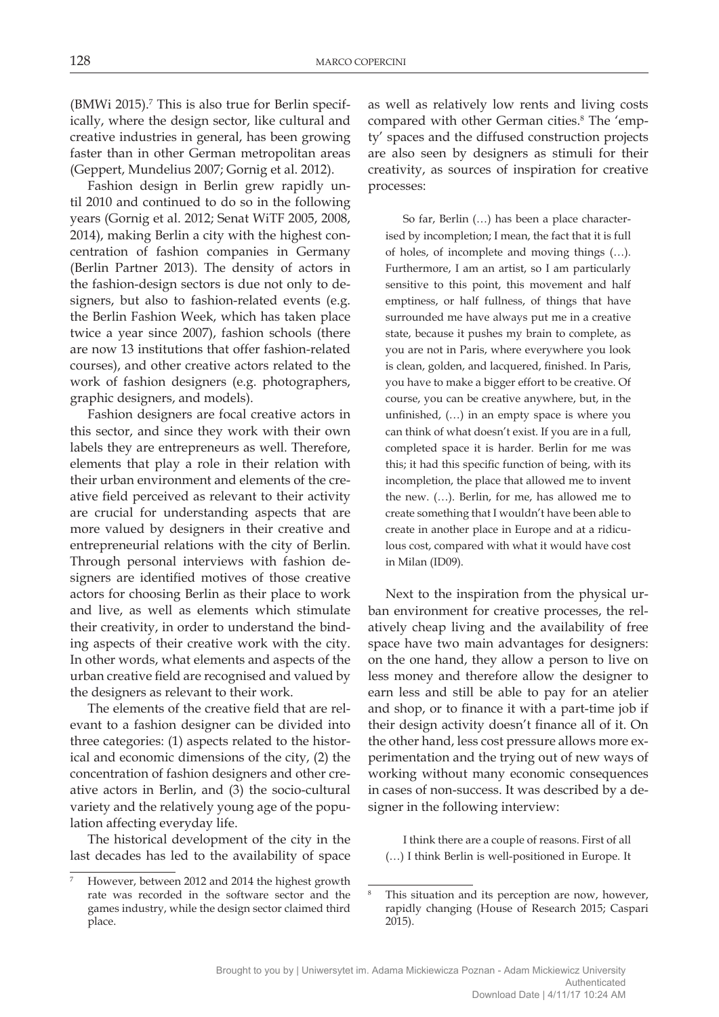$(MWi 2015).<sup>7</sup>$  This is also true for Berlin specifically, where the design sector, like cultural and creative industries in general, has been growing faster than in other German metropolitan areas (Geppert, Mundelius 2007; Gornig et al. 2012).

Fashion design in Berlin grew rapidly until 2010 and continued to do so in the following years (Gornig et al. 2012; Senat WiTF 2005, 2008, 2014), making Berlin a city with the highest concentration of fashion companies in Germany (Berlin Partner 2013). The density of actors in the fashion-design sectors is due not only to designers, but also to fashion-related events (e.g. the Berlin Fashion Week, which has taken place twice a year since 2007), fashion schools (there are now 13 institutions that offer fashion-related courses), and other creative actors related to the work of fashion designers (e.g. photographers, graphic designers, and models).

Fashion designers are focal creative actors in this sector, and since they work with their own labels they are entrepreneurs as well. Therefore, elements that play a role in their relation with their urban environment and elements of the creative field perceived as relevant to their activity are crucial for understanding aspects that are more valued by designers in their creative and entrepreneurial relations with the city of Berlin. Through personal interviews with fashion designers are identified motives of those creative actors for choosing Berlin as their place to work and live, as well as elements which stimulate their creativity, in order to understand the binding aspects of their creative work with the city. In other words, what elements and aspects of the urban creative field are recognised and valued by the designers as relevant to their work.

The elements of the creative field that are relevant to a fashion designer can be divided into three categories: (1) aspects related to the historical and economic dimensions of the city, (2) the concentration of fashion designers and other creative actors in Berlin, and (3) the socio-cultural variety and the relatively young age of the population affecting everyday life.

The historical development of the city in the last decades has led to the availability of space as well as relatively low rents and living costs compared with other German cities.<sup>8</sup> The 'empty' spaces and the diffused construction projects are also seen by designers as stimuli for their creativity, as sources of inspiration for creative processes:

So far, Berlin (…) has been a place characterised by incompletion; I mean, the fact that it is full of holes, of incomplete and moving things (…). Furthermore, I am an artist, so I am particularly sensitive to this point, this movement and half emptiness, or half fullness, of things that have surrounded me have always put me in a creative state, because it pushes my brain to complete, as you are not in Paris, where everywhere you look is clean, golden, and lacquered, finished. In Paris, you have to make a bigger effort to be creative. Of course, you can be creative anywhere, but, in the unfinished, (…) in an empty space is where you can think of what doesn't exist. If you are in a full, completed space it is harder. Berlin for me was this; it had this specific function of being, with its incompletion, the place that allowed me to invent the new. (…). Berlin, for me, has allowed me to create something that I wouldn't have been able to create in another place in Europe and at a ridiculous cost, compared with what it would have cost in Milan (ID09).

Next to the inspiration from the physical urban environment for creative processes, the relatively cheap living and the availability of free space have two main advantages for designers: on the one hand, they allow a person to live on less money and therefore allow the designer to earn less and still be able to pay for an atelier and shop, or to finance it with a part-time job if their design activity doesn't finance all of it. On the other hand, less cost pressure allows more experimentation and the trying out of new ways of working without many economic consequences in cases of non-success. It was described by a designer in the following interview:

I think there are a couple of reasons. First of all (…) I think Berlin is well-positioned in Europe. It

However, between 2012 and 2014 the highest growth rate was recorded in the software sector and the games industry, while the design sector claimed third place.

This situation and its perception are now, however, rapidly changing (House of Research 2015; Caspari 2015).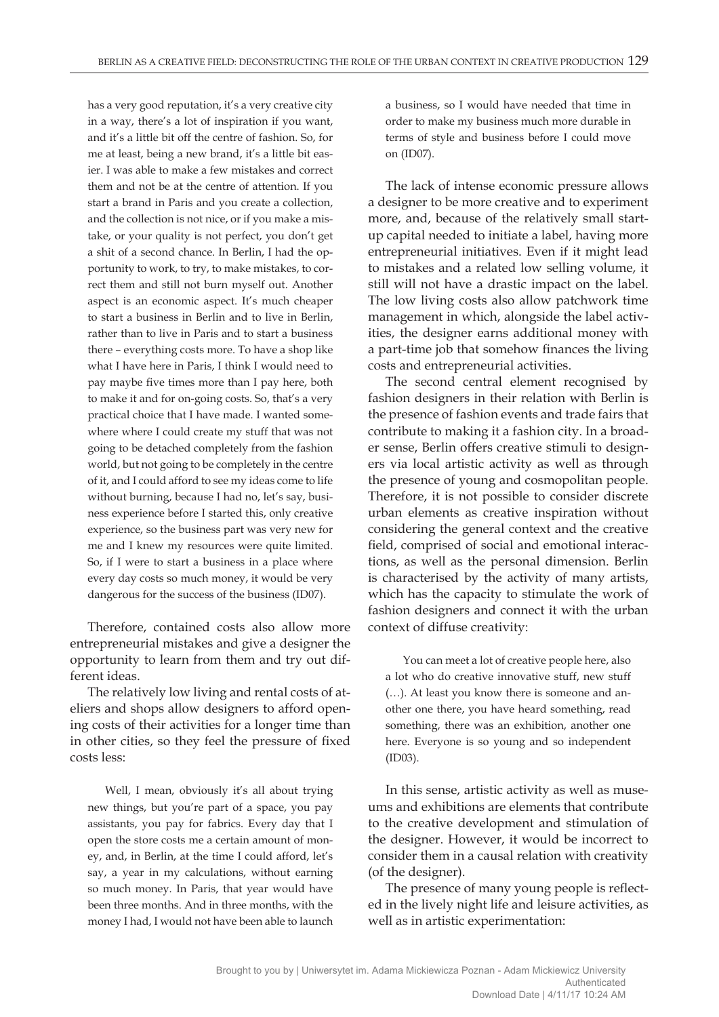has a very good reputation, it's a very creative city in a way, there's a lot of inspiration if you want, and it's a little bit off the centre of fashion. So, for me at least, being a new brand, it's a little bit easier. I was able to make a few mistakes and correct them and not be at the centre of attention. If you start a brand in Paris and you create a collection, and the collection is not nice, or if you make a mistake, or your quality is not perfect, you don't get a shit of a second chance. In Berlin, I had the opportunity to work, to try, to make mistakes, to correct them and still not burn myself out. Another aspect is an economic aspect. It's much cheaper to start a business in Berlin and to live in Berlin, rather than to live in Paris and to start a business there – everything costs more. To have a shop like what I have here in Paris, I think I would need to pay maybe five times more than I pay here, both to make it and for on-going costs. So, that's a very practical choice that I have made. I wanted somewhere where I could create my stuff that was not going to be detached completely from the fashion world, but not going to be completely in the centre of it, and I could afford to see my ideas come to life without burning, because I had no, let's say, business experience before I started this, only creative experience, so the business part was very new for me and I knew my resources were quite limited. So, if I were to start a business in a place where every day costs so much money, it would be very dangerous for the success of the business (ID07).

Therefore, contained costs also allow more entrepreneurial mistakes and give a designer the opportunity to learn from them and try out different ideas.

The relatively low living and rental costs of ateliers and shops allow designers to afford opening costs of their activities for a longer time than in other cities, so they feel the pressure of fixed costs less:

Well, I mean, obviously it's all about trying new things, but you're part of a space, you pay assistants, you pay for fabrics. Every day that I open the store costs me a certain amount of money, and, in Berlin, at the time I could afford, let's say, a year in my calculations, without earning so much money. In Paris, that year would have been three months. And in three months, with the money I had, I would not have been able to launch a business, so I would have needed that time in order to make my business much more durable in terms of style and business before I could move on (ID07).

The lack of intense economic pressure allows a designer to be more creative and to experiment more, and, because of the relatively small startup capital needed to initiate a label, having more entrepreneurial initiatives. Even if it might lead to mistakes and a related low selling volume, it still will not have a drastic impact on the label. The low living costs also allow patchwork time management in which, alongside the label activities, the designer earns additional money with a part-time job that somehow finances the living costs and entrepreneurial activities.

The second central element recognised by fashion designers in their relation with Berlin is the presence of fashion events and trade fairs that contribute to making it a fashion city. In a broader sense, Berlin offers creative stimuli to designers via local artistic activity as well as through the presence of young and cosmopolitan people. Therefore, it is not possible to consider discrete urban elements as creative inspiration without considering the general context and the creative field, comprised of social and emotional interactions, as well as the personal dimension. Berlin is characterised by the activity of many artists, which has the capacity to stimulate the work of fashion designers and connect it with the urban context of diffuse creativity:

You can meet a lot of creative people here, also a lot who do creative innovative stuff, new stuff (…). At least you know there is someone and another one there, you have heard something, read something, there was an exhibition, another one here. Everyone is so young and so independent (ID03).

In this sense, artistic activity as well as museums and exhibitions are elements that contribute to the creative development and stimulation of the designer. However, it would be incorrect to consider them in a causal relation with creativity (of the designer).

The presence of many young people is reflected in the lively night life and leisure activities, as well as in artistic experimentation: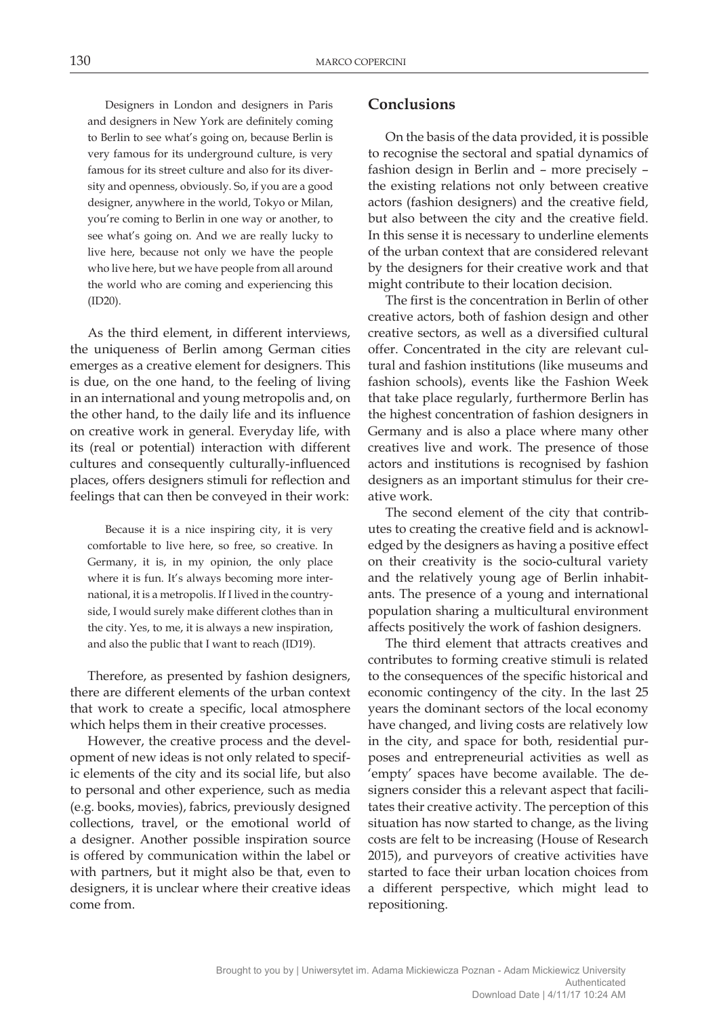Designers in London and designers in Paris and designers in New York are definitely coming to Berlin to see what's going on, because Berlin is very famous for its underground culture, is very famous for its street culture and also for its diversity and openness, obviously. So, if you are a good designer, anywhere in the world, Tokyo or Milan, you're coming to Berlin in one way or another, to see what's going on. And we are really lucky to live here, because not only we have the people who live here, but we have people from all around the world who are coming and experiencing this (ID20).

As the third element, in different interviews, the uniqueness of Berlin among German cities emerges as a creative element for designers. This is due, on the one hand, to the feeling of living in an international and young metropolis and, on the other hand, to the daily life and its influence on creative work in general. Everyday life, with its (real or potential) interaction with different cultures and consequently culturally-influenced places, offers designers stimuli for reflection and feelings that can then be conveyed in their work:

Because it is a nice inspiring city, it is very comfortable to live here, so free, so creative. In Germany, it is, in my opinion, the only place where it is fun. It's always becoming more international, it is a metropolis. If I lived in the countryside, I would surely make different clothes than in the city. Yes, to me, it is always a new inspiration, and also the public that I want to reach (ID19).

Therefore, as presented by fashion designers, there are different elements of the urban context that work to create a specific, local atmosphere which helps them in their creative processes.

However, the creative process and the development of new ideas is not only related to specific elements of the city and its social life, but also to personal and other experience, such as media (e.g. books, movies), fabrics, previously designed collections, travel, or the emotional world of a designer. Another possible inspiration source is offered by communication within the label or with partners, but it might also be that, even to designers, it is unclear where their creative ideas come from.

#### **Conclusions**

On the basis of the data provided, it is possible to recognise the sectoral and spatial dynamics of fashion design in Berlin and – more precisely – the existing relations not only between creative actors (fashion designers) and the creative field, but also between the city and the creative field. In this sense it is necessary to underline elements of the urban context that are considered relevant by the designers for their creative work and that might contribute to their location decision.

The first is the concentration in Berlin of other creative actors, both of fashion design and other creative sectors, as well as a diversified cultural offer. Concentrated in the city are relevant cultural and fashion institutions (like museums and fashion schools), events like the Fashion Week that take place regularly, furthermore Berlin has the highest concentration of fashion designers in Germany and is also a place where many other creatives live and work. The presence of those actors and institutions is recognised by fashion designers as an important stimulus for their creative work.

The second element of the city that contributes to creating the creative field and is acknowledged by the designers as having a positive effect on their creativity is the socio-cultural variety and the relatively young age of Berlin inhabitants. The presence of a young and international population sharing a multicultural environment affects positively the work of fashion designers.

The third element that attracts creatives and contributes to forming creative stimuli is related to the consequences of the specific historical and economic contingency of the city. In the last 25 years the dominant sectors of the local economy have changed, and living costs are relatively low in the city, and space for both, residential purposes and entrepreneurial activities as well as 'empty' spaces have become available. The designers consider this a relevant aspect that facilitates their creative activity. The perception of this situation has now started to change, as the living costs are felt to be increasing (House of Research 2015), and purveyors of creative activities have started to face their urban location choices from a different perspective, which might lead to repositioning.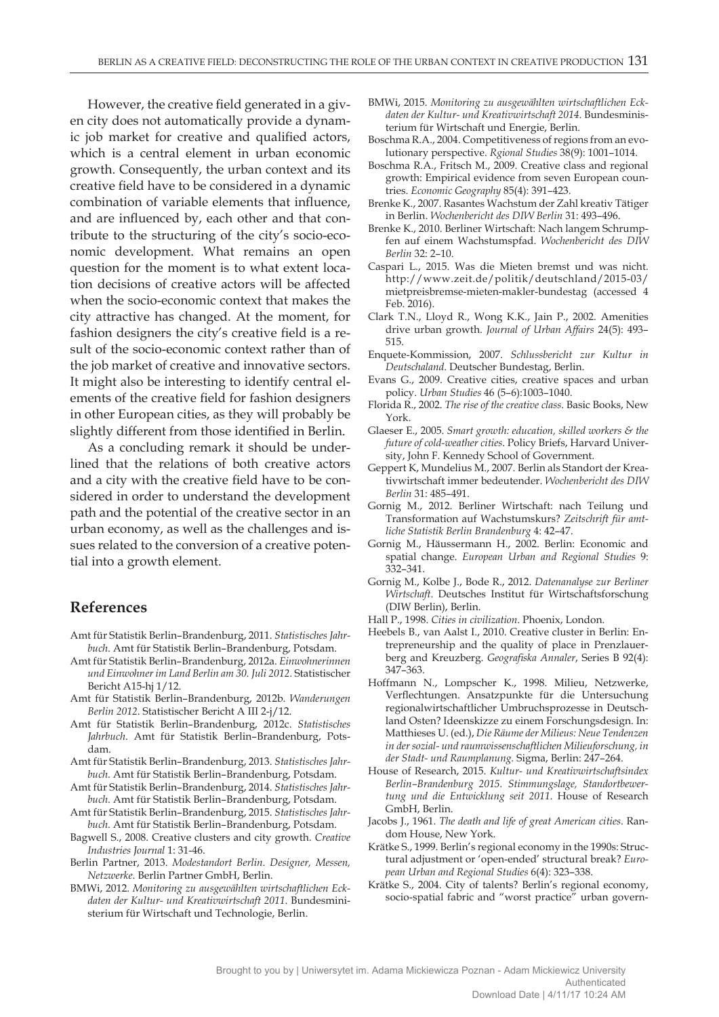However, the creative field generated in a given city does not automatically provide a dynamic job market for creative and qualified actors, which is a central element in urban economic growth. Consequently, the urban context and its creative field have to be considered in a dynamic combination of variable elements that influence, and are influenced by, each other and that contribute to the structuring of the city's socio-economic development. What remains an open question for the moment is to what extent location decisions of creative actors will be affected when the socio-economic context that makes the city attractive has changed. At the moment, for fashion designers the city's creative field is a result of the socio-economic context rather than of the job market of creative and innovative sectors. It might also be interesting to identify central elements of the creative field for fashion designers in other European cities, as they will probably be slightly different from those identified in Berlin.

As a concluding remark it should be underlined that the relations of both creative actors and a city with the creative field have to be considered in order to understand the development path and the potential of the creative sector in an urban economy, as well as the challenges and issues related to the conversion of a creative potential into a growth element.

# **References**

- Amt für Statistik Berlin–Brandenburg, 2011. *Statistisches Jahrbuch*. Amt für Statistik Berlin–Brandenburg, Potsdam.
- Amt für Statistik Berlin–Brandenburg, 2012a. *Einwohnerinnen und Einwohner im Land Berlin am 30. Juli 2012*. Statistischer Bericht A15-hj 1/12.
- Amt für Statistik Berlin–Brandenburg, 2012b. *Wanderungen Berlin 2012*. Statistischer Bericht A III 2-j/12.
- Amt für Statistik Berlin–Brandenburg, 2012c. *Statistisches Jahrbuch*. Amt für Statistik Berlin–Brandenburg, Potsdam.
- Amt für Statistik Berlin–Brandenburg, 2013. *Statistisches Jahrbuch*. Amt für Statistik Berlin–Brandenburg, Potsdam.
- Amt für Statistik Berlin–Brandenburg, 2014. *Statistisches Jahrbuch*. Amt für Statistik Berlin–Brandenburg, Potsdam.
- Amt für Statistik Berlin–Brandenburg, 2015. *Statistisches Jahrbuch*. Amt für Statistik Berlin–Brandenburg, Potsdam.
- Bagwell S., 2008. Creative clusters and city growth. *Creative Industries Journal* 1: 31-46.
- Berlin Partner, 2013. *Modestandort Berlin. Designer, Messen, Netzwerke*. Berlin Partner GmbH, Berlin.
- BMWi, 2012. *Monitoring zu ausgewählten wirtschaftlichen Eckdaten der Kultur- und Kreativwirtschaft 2011*. Bundesministerium für Wirtschaft und Technologie, Berlin.
- BMWi, 2015. *Monitoring zu ausgewählten wirtschaftlichen Eckdaten der Kultur- und Kreativwirtschaft 2014*. Bundesministerium für Wirtschaft und Energie, Berlin.
- Boschma R.A., 2004. Competitiveness of regions from an evolutionary perspective. *Rgional Studies* 38(9): 1001–1014.
- Boschma R.A., Fritsch M., 2009. Creative class and regional growth: Empirical evidence from seven European countries. *Economic Geography* 85(4): 391–423.
- Brenke K., 2007. Rasantes Wachstum der Zahl kreativ Tätiger in Berlin. *Wochenbericht des DIW Berlin* 31: 493–496.
- Brenke K., 2010. Berliner Wirtschaft: Nach langem Schrumpfen auf einem Wachstumspfad. *Wochenbericht des DIW Berlin* 32: 2–10.
- Caspari L., 2015. Was die Mieten bremst und was nicht. http://www.zeit.de/politik/deutschland/2015-03/ mietpreisbremse-mieten-makler-bundestag (accessed 4 Feb. 2016).
- Clark T.N., Lloyd R., Wong K.K., Jain P., 2002. Amenities drive urban growth. *Journal of Urban Affairs* 24(5): 493– 515.
- Enquete-Kommission, 2007. *Schlussbericht zur Kultur in Deutschaland*. Deutscher Bundestag, Berlin.
- Evans G., 2009. Creative cities, creative spaces and urban policy. *Urban Studies* 46 (5–6):1003–1040.
- Florida R., 2002. *The rise of the creative class*. Basic Books, New York.
- Glaeser E., 2005. *Smart growth: education, skilled workers & the future of cold-weather cities*. Policy Briefs, Harvard University, John F. Kennedy School of Government.
- Geppert K, Mundelius M., 2007. Berlin als Standort der Kreativwirtschaft immer bedeutender. *Wochenbericht des DIW Berlin* 31: 485–491.
- Gornig M., 2012. Berliner Wirtschaft: nach Teilung und Transformation auf Wachstumskurs? *Zeitschrift für amtliche Statistik Berlin Brandenburg* 4: 42–47.
- Gornig M., Häussermann H., 2002. Berlin: Economic and spatial change. *European Urban and Regional Studies* 9: 332–341.
- Gornig M., Kolbe J., Bode R., 2012. *Datenanalyse zur Berliner Wirtschaft*. Deutsches Institut für Wirtschaftsforschung (DIW Berlin), Berlin.
- Hall P., 1998. *Cities in civilization*. Phoenix, London.
- Heebels B., van Aalst I., 2010. Creative cluster in Berlin: Entrepreneurship and the quality of place in Prenzlauerberg and Kreuzberg. *Geografiska Annaler*, Series B 92(4): 347–363.
- Hoffmann N., Lompscher K., 1998. Milieu, Netzwerke, Verflechtungen. Ansatzpunkte für die Untersuchung regionalwirtschaftlicher Umbruchsprozesse in Deutschland Osten? Ideenskizze zu einem Forschungsdesign. In: Matthieses U. (ed.), *Die Räume der Milieus: Neue Tendenzen in der sozial- und raumwissenschaftlichen Milieuforschung, in der Stadt- und Raumplanung.* Sigma, Berlin: 247–264.
- House of Research, 2015. *Kultur- und Kreativwirtschaftsindex Berlin–Brandenburg 2015. Stimmungslage, Standortbewertung und die Entwicklung seit 2011*. House of Research GmbH, Berlin.
- Jacobs J., 1961. *The death and life of great American cities*. Random House, New York.
- Krätke S., 1999. Berlin's regional economy in the 1990s: Structural adjustment or 'open-ended' structural break? *European Urban and Regional Studies* 6(4): 323–338.
- Krätke S., 2004. City of talents? Berlin's regional economy, socio-spatial fabric and "worst practice" urban govern-